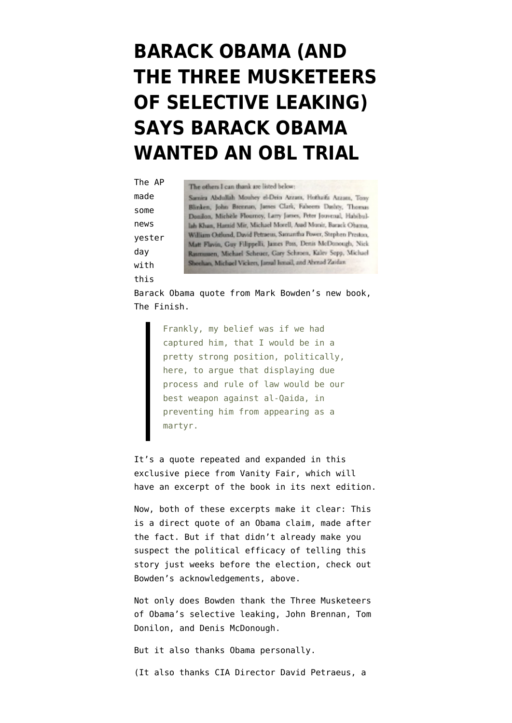## **[BARACK OBAMA \(AND](https://www.emptywheel.net/2012/10/04/barack-obama-and-the-three-musketeers-of-selective-leaking-says-barack-obama-wanted-an-obl-trial/) [THE THREE MUSKETEERS](https://www.emptywheel.net/2012/10/04/barack-obama-and-the-three-musketeers-of-selective-leaking-says-barack-obama-wanted-an-obl-trial/) [OF SELECTIVE LEAKING\)](https://www.emptywheel.net/2012/10/04/barack-obama-and-the-three-musketeers-of-selective-leaking-says-barack-obama-wanted-an-obl-trial/) [SAYS BARACK OBAMA](https://www.emptywheel.net/2012/10/04/barack-obama-and-the-three-musketeers-of-selective-leaking-says-barack-obama-wanted-an-obl-trial/) [WANTED AN OBL TRIAL](https://www.emptywheel.net/2012/10/04/barack-obama-and-the-three-musketeers-of-selective-leaking-says-barack-obama-wanted-an-obl-trial/)**

| The AP | The others I can thank are listed below:                                                                                                                                                                                                                                                                                                                                                            |
|--------|-----------------------------------------------------------------------------------------------------------------------------------------------------------------------------------------------------------------------------------------------------------------------------------------------------------------------------------------------------------------------------------------------------|
| made   | Samira Abdullah Mouhey el-Dein Azzam, Hothaika Azzam, Tom                                                                                                                                                                                                                                                                                                                                           |
| some   | Blinken, John Brennan, James Clark, Faheem Dashty, Thoma-<br>Donilon, Michèle Flournoy, Larry James, Peter Jouvenal, Habibul<br>lah Khan, Hamid Mir, Michael Morell, Asad Munit, Barack Obama<br>William Oxfond, David Petraeus, Samantha Power, Stephen Preston<br>Matt Flavin, Guy Filippelli, James Poss, Denis McDonough, Nicl<br>Rasmussen, Michael Scheuer, Gary Schroen, Kaley Sepp, Michael |
| news   |                                                                                                                                                                                                                                                                                                                                                                                                     |
| yester |                                                                                                                                                                                                                                                                                                                                                                                                     |
| day    |                                                                                                                                                                                                                                                                                                                                                                                                     |
| with   | Sheehan, Michael Vickers, Jamal Ismail, and Ahmad Zaidan                                                                                                                                                                                                                                                                                                                                            |
| this   |                                                                                                                                                                                                                                                                                                                                                                                                     |

Barack Obama quote from Mark Bowden's new book, The Finish.

> Frankly, my belief was if we had captured him, that I would be in a pretty strong position, politically, here, to argue that displaying due process and rule of law would be our best weapon against al-Qaida, in preventing him from appearing as a martyr.

It's a quote repeated and expanded in this [exclusive piece](http://www.vanityfair.com/online/daily/2012/10/obama-put-osama-bin-laden-on-trial) from Vanity Fair, which will have an excerpt of the book in its next edition.

Now, both of these excerpts make it clear: This is a direct quote of an Obama claim, made after the fact. But if that didn't already make you suspect the political efficacy of telling this story just weeks before the election, check out Bowden's acknowledgements, above.

Not only does Bowden thank the Three Musketeers of Obama's selective leaking, John Brennan, Tom Donilon, and Denis McDonough.

But it also thanks Obama personally.

(It also thanks CIA Director David Petraeus, a